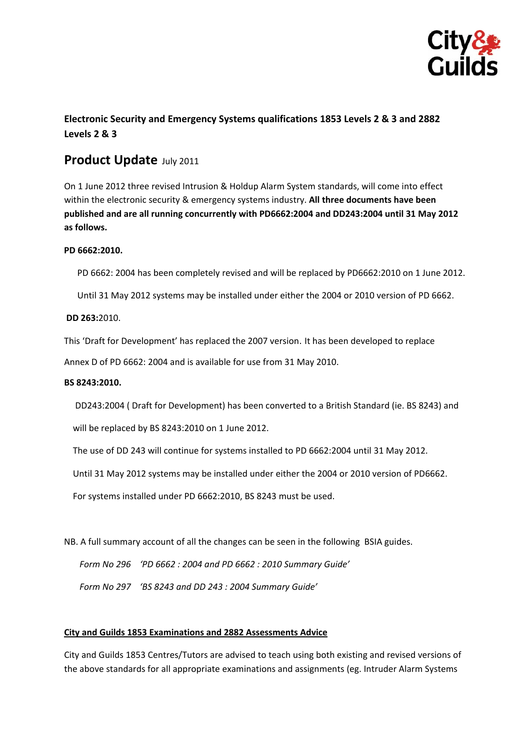

# **Electronic Security and Emergency Systems qualifications 1853 Levels 2 & 3 and 2882 Levels 2 & 3**

# **Product Update** July <sup>2011</sup>

On 1 June 2012 three revised Intrusion & Holdup Alarm System standards, will come into effect within the electronic security & emergency systems industry. **All three documents have been published and are all running concurrently with PD6662:2004 and DD243:2004 until 31 May 2012 as follows.**

## **PD 6662:2010.**

PD 6662: 2004 has been completely revised and will be replaced by PD6662:2010 on 1 June 2012.

Until 31 May 2012 systems may be installed under either the 2004 or 2010 version of PD 6662.

### **DD 263:**2010.

This 'Draft for Development' has replaced the 2007 version. It has been developed to replace

Annex D of PD 6662: 2004 and is available for use from 31 May 2010.

#### **BS 8243:2010.**

DD243:2004 ( Draft for Development) has been converted to a British Standard (ie. BS 8243) and

will be replaced by BS 8243:2010 on 1 June 2012.

The use of DD 243 will continue for systems installed to PD 6662:2004 until 31 May 2012.

Until 31 May 2012 systems may be installed under either the 2004 or 2010 version of PD6662.

For systems installed under PD 6662:2010, BS 8243 must be used.

NB. A full summary account of all the changes can be seen in the following BSIA guides.

 *Form No 296 'PD 6662 : 2004 and PD 6662 : 2010 Summary Guide'*

 *Form No 297 'BS 8243 and DD 243 : 2004 Summary Guide'*

#### **City and Guilds 1853 Examinations and 2882 Assessments Advice**

City and Guilds 1853 Centres/Tutors are advised to teach using both existing and revised versions of the above standards for all appropriate examinations and assignments (eg. Intruder Alarm Systems